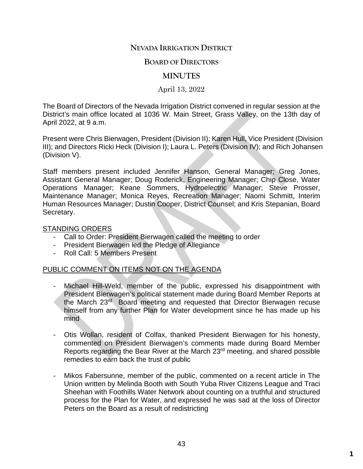### **NEVADA IRRIGATION DISTRICT**

#### **BOARD OF DIRECTORS**

#### **MINUTES**

April 13, 2022

The Board of Directors of the Nevada Irrigation District convened in regular session at the District's main office located at 1036 W. Main Street, Grass Valley, on the 13th day of April 2022, at 9 a.m.

Present were Chris Bierwagen, President (Division II); Karen Hull, Vice President (Division III); and Directors Ricki Heck (Division I); Laura L. Peters (Division IV); and Rich Johansen (Division V).

Staff members present included Jennifer Hanson, General Manager; Greg Jones, Assistant General Manager; Doug Roderick, Engineering Manager; Chip Close, Water Operations Manager; Keane Sommers, Hydroelectric Manager; Steve Prosser, Maintenance Manager; Monica Reyes, Recreation Manager; Naomi Schmitt, Interim Human Resources Manager; Dustin Cooper, District Counsel; and Kris Stepanian, Board Secretary.

#### STANDING ORDERS

- Call to Order: President Bierwagen called the meeting to order
- President Bierwagen led the Pledge of Allegiance
- Roll Call: 5 Members Present

#### PUBLIC COMMENT ON ITEMS NOT ON THE AGENDA

- Michael Hill-Weld, member of the public, expressed his disappointment with President Bierwagen's political statement made during Board Member Reports at the March 23rd Board meeting and requested that Director Bierwagen recuse himself from any further Plan for Water development since he has made up his mind
- Otis Wollan, resident of Colfax, thanked President Bierwagen for his honesty, commented on President Bierwagen's comments made during Board Member Reports regarding the Bear River at the March 23rd meeting, and shared possible remedies to earn back the trust of public
- Mikos Fabersunne, member of the public, commented on a recent article in The Union written by Melinda Booth with South Yuba River Citizens League and Traci Sheehan with Foothills Water Network about counting on a truthful and structured process for the Plan for Water, and expressed he was sad at the loss of Director Peters on the Board as a result of redistricting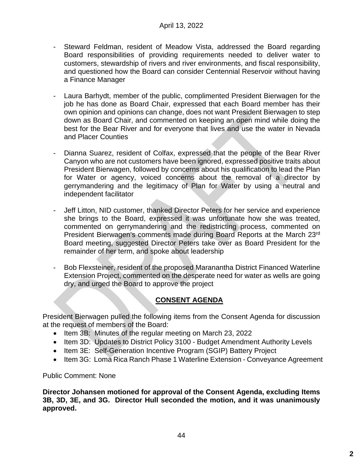- Steward Feldman, resident of Meadow Vista, addressed the Board regarding Board responsibilities of providing requirements needed to deliver water to customers, stewardship of rivers and river environments, and fiscal responsibility, and questioned how the Board can consider Centennial Reservoir without having a Finance Manager
- Laura Barhydt, member of the public, complimented President Bierwagen for the job he has done as Board Chair, expressed that each Board member has their own opinion and opinions can change, does not want President Bierwagen to step down as Board Chair, and commented on keeping an open mind while doing the best for the Bear River and for everyone that lives and use the water in Nevada and Placer Counties
- Dianna Suarez, resident of Colfax, expressed that the people of the Bear River Canyon who are not customers have been ignored, expressed positive traits about President Bierwagen, followed by concerns about his qualification to lead the Plan for Water or agency, voiced concerns about the removal of a director by gerrymandering and the legitimacy of Plan for Water by using a neutral and independent facilitator
- Jeff Litton, NID customer, thanked Director Peters for her service and experience she brings to the Board, expressed it was unfortunate how she was treated, commented on gerrymandering and the redistricting process, commented on President Bierwagen's comments made during Board Reports at the March 23rd Board meeting, suggested Director Peters take over as Board President for the remainder of her term, and spoke about leadership
- Bob Flexsteiner, resident of the proposed Maranantha District Financed Waterline Extension Project, commented on the desperate need for water as wells are going dry, and urged the Board to approve the project

# **CONSENT AGENDA**

President Bierwagen pulled the following items from the Consent Agenda for discussion at the request of members of the Board:

- Item 3B: Minutes of the regular meeting on March 23, 2022
- Item 3D: Updates to District Policy 3100 Budget Amendment Authority Levels
- Item 3E: Self-Generation Incentive Program (SGIP) Battery Project
- Item 3G: Loma Rica Ranch Phase 1 Waterline Extension Conveyance Agreement

Public Comment: None

**Director Johansen motioned for approval of the Consent Agenda, excluding Items 3B, 3D, 3E, and 3G. Director Hull seconded the motion, and it was unanimously approved.**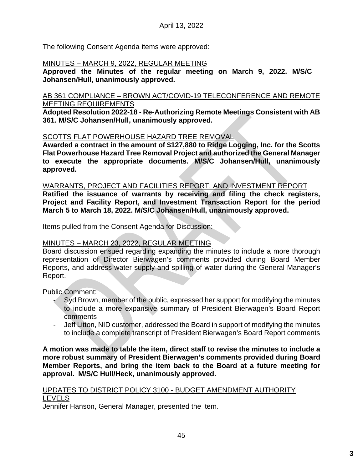The following Consent Agenda items were approved:

### MINUTES – MARCH 9, 2022, REGULAR MEETING

**Approved the Minutes of the regular meeting on March 9, 2022. M/S/C Johansen/Hull, unanimously approved.**

#### AB 361 COMPLIANCE – BROWN ACT/COVID-19 TELECONFERENCE AND REMOTE MEETING REQUIREMENTS

**Adopted Resolution 2022-18 - Re-Authorizing Remote Meetings Consistent with AB 361. M/S/C Johansen/Hull, unanimously approved.**

### SCOTTS FLAT POWERHOUSE HAZARD TREE REMOVAL

**Awarded a contract in the amount of \$127,880 to Ridge Logging, Inc. for the Scotts Flat Powerhouse Hazard Tree Removal Project and authorized the General Manager to execute the appropriate documents. M/S/C Johansen/Hull, unanimously approved.**

#### WARRANTS, PROJECT AND FACILITIES REPORT, AND INVESTMENT REPORT

**Ratified the issuance of warrants by receiving and filing the check registers, Project and Facility Report, and Investment Transaction Report for the period March 5 to March 18, 2022. M/S/C Johansen/Hull, unanimously approved.**

Items pulled from the Consent Agenda for Discussion:

### MINUTES – MARCH 23, 2022, REGULAR MEETING

Board discussion ensued regarding expanding the minutes to include a more thorough representation of Director Bierwagen's comments provided during Board Member Reports, and address water supply and spilling of water during the General Manager's Report.

Public Comment:

- Syd Brown, member of the public, expressed her support for modifying the minutes to include a more expansive summary of President Bierwagen's Board Report comments
- Jeff Litton, NID customer, addressed the Board in support of modifying the minutes to include a complete transcript of President Bierwagen's Board Report comments

**A motion was made to table the item, direct staff to revise the minutes to include a more robust summary of President Bierwagen's comments provided during Board Member Reports, and bring the item back to the Board at a future meeting for approval. M/S/C Hull/Heck, unanimously approved.**

#### UPDATES TO DISTRICT POLICY 3100 - BUDGET AMENDMENT AUTHORITY LEVELS

Jennifer Hanson, General Manager, presented the item.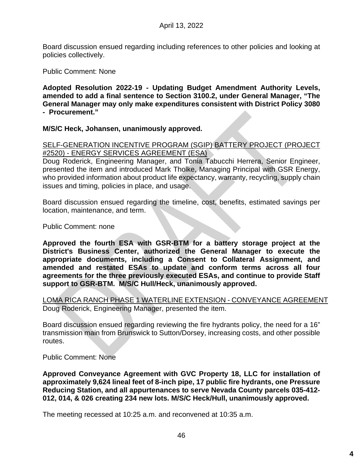Board discussion ensued regarding including references to other policies and looking at policies collectively.

Public Comment: None

**Adopted Resolution 2022-19 - Updating Budget Amendment Authority Levels, amended to add a final sentence to Section 3100.2, under General Manager, "The General Manager may only make expenditures consistent with District Policy 3080 - Procurement."**

**M/S/C Heck, Johansen, unanimously approved.**

SELF-GENERATION INCENTIVE PROGRAM (SGIP) BATTERY PROJECT (PROJECT #2520) - ENERGY SERVICES AGREEMENT (ESA)

Doug Roderick, Engineering Manager, and Tonia Tabucchi Herrera, Senior Engineer, presented the item and introduced Mark Tholke, Managing Principal with GSR Energy, who provided information about product life expectancy, warranty, recycling, supply chain issues and timing, policies in place, and usage.

Board discussion ensued regarding the timeline, cost, benefits, estimated savings per location, maintenance, and term.

Public Comment: none

**Approved the fourth ESA with GSR-BTM for a battery storage project at the District's Business Center, authorized the General Manager to execute the appropriate documents, including a Consent to Collateral Assignment, and amended and restated ESAs to update and conform terms across all four agreements for the three previously executed ESAs, and continue to provide Staff support to GSR-BTM. M/S/C Hull/Heck, unanimously approved.**

LOMA RICA RANCH PHASE 1 WATERLINE EXTENSION - CONVEYANCE AGREEMENT Doug Roderick, Engineering Manager, presented the item.

Board discussion ensued regarding reviewing the fire hydrants policy, the need for a 16" transmission main from Brunswick to Sutton/Dorsey, increasing costs, and other possible routes.

Public Comment: None

**Approved Conveyance Agreement with GVC Property 18, LLC for installation of approximately 9,624 lineal feet of 8-inch pipe, 17 public fire hydrants, one Pressure Reducing Station, and all appurtenances to serve Nevada County parcels 035-412- 012, 014, & 026 creating 234 new lots. M/S/C Heck/Hull, unanimously approved.**

The meeting recessed at 10:25 a.m. and reconvened at 10:35 a.m.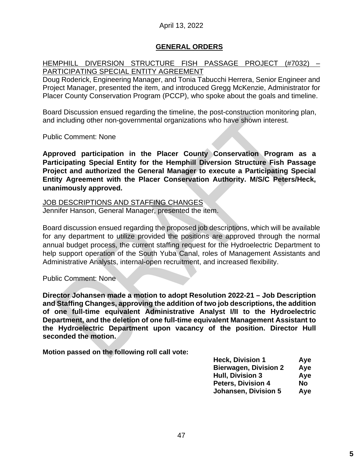### April 13, 2022

#### **GENERAL ORDERS**

#### HEMPHILL DIVERSION STRUCTURE FISH PASSAGE PROJECT (#7032) – PARTICIPATING SPECIAL ENTITY AGREEMENT

Doug Roderick, Engineering Manager, and Tonia Tabucchi Herrera, Senior Engineer and Project Manager, presented the item, and introduced Gregg McKenzie, Administrator for Placer County Conservation Program (PCCP), who spoke about the goals and timeline.

Board Discussion ensued regarding the timeline, the post-construction monitoring plan, and including other non-governmental organizations who have shown interest.

Public Comment: None

**Approved participation in the Placer County Conservation Program as a Participating Special Entity for the Hemphill Diversion Structure Fish Passage Project and authorized the General Manager to execute a Participating Special Entity Agreement with the Placer Conservation Authority. M/S/C Peters/Heck, unanimously approved.**

JOB DESCRIPTIONS AND STAFFING CHANGES Jennifer Hanson, General Manager, presented the item.

Board discussion ensued regarding the proposed job descriptions, which will be available for any department to utilize provided the positions are approved through the normal annual budget process, the current staffing request for the Hydroelectric Department to help support operation of the South Yuba Canal, roles of Management Assistants and Administrative Analysts, internal-open recruitment, and increased flexibility.

Public Comment: None

**Director Johansen made a motion to adopt Resolution 2022-21 – Job Description and Staffing Changes, approving the addition of two job descriptions, the addition of one full-time equivalent Administrative Analyst I/II to the Hydroelectric Department, and the deletion of one full-time equivalent Management Assistant to the Hydroelectric Department upon vacancy of the position. Director Hull seconded the motion.**

**Motion passed on the following roll call vote:**

| Aye |
|-----|
| Aye |
| Aye |
| No  |
| Aye |
|     |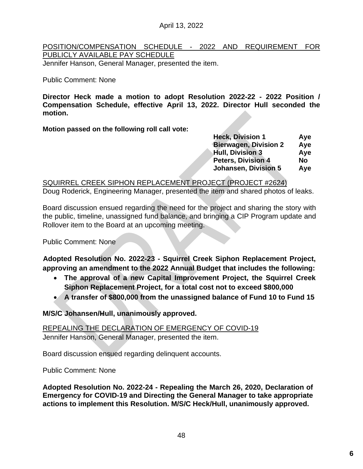April 13, 2022

### POSITION/COMPENSATION SCHEDULE - 2022 AND REQUIREMENT FOR PUBLICLY AVAILABLE PAY SCHEDULE

Jennifer Hanson, General Manager, presented the item.

#### Public Comment: None

**Director Heck made a motion to adopt Resolution 2022-22 - 2022 Position / Compensation Schedule, effective April 13, 2022. Director Hull seconded the motion.**

**Motion passed on the following roll call vote:**

| Aye |
|-----|
| Aye |
| Aye |
| No  |
| Aye |
|     |

### SQUIRREL CREEK SIPHON REPLACEMENT PROJECT (PROJECT #2624)

Doug Roderick, Engineering Manager, presented the item and shared photos of leaks.

Board discussion ensued regarding the need for the project and sharing the story with the public, timeline, unassigned fund balance, and bringing a CIP Program update and Rollover item to the Board at an upcoming meeting.

Public Comment: None

**Adopted Resolution No. 2022-23 - Squirrel Creek Siphon Replacement Project, approving an amendment to the 2022 Annual Budget that includes the following:**

- **The approval of a new Capital Improvement Project, the Squirrel Creek Siphon Replacement Project, for a total cost not to exceed \$800,000**
- **A transfer of \$800,000 from the unassigned balance of Fund 10 to Fund 15**

**M/S/C Johansen/Hull, unanimously approved.**

REPEALING THE DECLARATION OF EMERGENCY OF COVID-19 Jennifer Hanson, General Manager, presented the item.

Board discussion ensued regarding delinquent accounts.

Public Comment: None

**Adopted Resolution No. 2022-24 - Repealing the March 26, 2020, Declaration of Emergency for COVID-19 and Directing the General Manager to take appropriate actions to implement this Resolution. M/S/C Heck/Hull, unanimously approved.**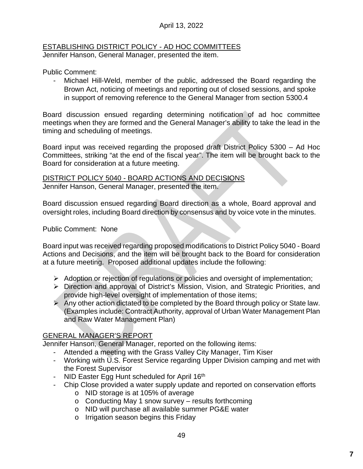### April 13, 2022

#### ESTABLISHING DISTRICT POLICY - AD HOC COMMITTEES Jennifer Hanson, General Manager, presented the item.

Public Comment:

Michael Hill-Weld, member of the public, addressed the Board regarding the Brown Act, noticing of meetings and reporting out of closed sessions, and spoke in support of removing reference to the General Manager from section 5300.4

Board discussion ensued regarding determining notification of ad hoc committee meetings when they are formed and the General Manager's ability to take the lead in the timing and scheduling of meetings.

Board input was received regarding the proposed draft District Policy 5300 – Ad Hoc Committees, striking "at the end of the fiscal year". The item will be brought back to the Board for consideration at a future meeting.

#### DISTRICT POLICY 5040 - BOARD ACTIONS AND DECISIONS Jennifer Hanson, General Manager, presented the item.

Board discussion ensued regarding Board direction as a whole, Board approval and oversight roles, including Board direction by consensus and by voice vote in the minutes.

### Public Comment: None

Board input was received regarding proposed modifications to District Policy 5040 - Board Actions and Decisions, and the item will be brought back to the Board for consideration at a future meeting. Proposed additional updates include the following:

- $\triangleright$  Adoption or rejection of regulations or policies and oversight of implementation;
- Direction and approval of District's Mission, Vision, and Strategic Priorities, and provide high-level oversight of implementation of those items;
- $\triangleright$  Any other action dictated to be completed by the Board through policy or State law. (Examples include: Contract Authority, approval of Urban Water Management Plan and Raw Water Management Plan)

### GENERAL MANAGER'S REPORT

Jennifer Hanson, General Manager, reported on the following items:

- Attended a meeting with the Grass Valley City Manager, Tim Kiser
- Working with U.S. Forest Service regarding Upper Division camping and met with the Forest Supervisor
- NID Easter Egg Hunt scheduled for April 16<sup>th</sup>
- Chip Close provided a water supply update and reported on conservation efforts
	- o NID storage is at 105% of average
	- o Conducting May 1 snow survey results forthcoming
	- o NID will purchase all available summer PG&E water
	- o Irrigation season begins this Friday